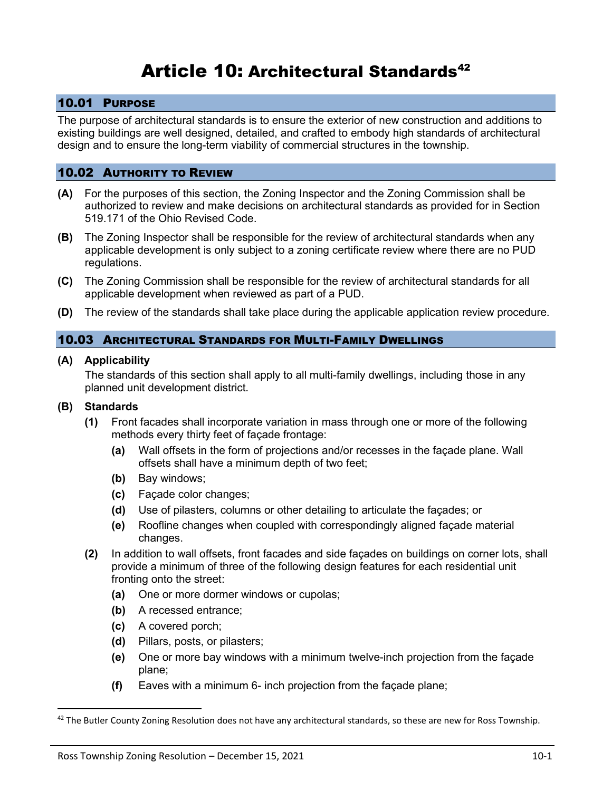# Article 10: Architectural Standards<sup>42</sup>

## 10.01 PURPOSE

The purpose of architectural standards is to ensure the exterior of new construction and additions to existing buildings are well designed, detailed, and crafted to embody high standards of architectural design and to ensure the long-term viability of commercial structures in the township.

## 10.02 AUTHORITY TO REVIEW

- **(A)** For the purposes of this section, the Zoning Inspector and the Zoning Commission shall be authorized to review and make decisions on architectural standards as provided for in Section 519.171 of the Ohio Revised Code.
- **(B)** The Zoning Inspector shall be responsible for the review of architectural standards when any applicable development is only subject to a zoning certificate review where there are no PUD regulations.
- **(C)** The Zoning Commission shall be responsible for the review of architectural standards for all applicable development when reviewed as part of a PUD.
- **(D)** The review of the standards shall take place during the applicable application review procedure.

#### 10.03 ARCHITECTURAL STANDARDS FOR MULTI-FAMILY DWELLINGS

#### **(A) Applicability**

The standards of this section shall apply to all multi-family dwellings, including those in any planned unit development district.

#### **(B) Standards**

- **(1)** Front facades shall incorporate variation in mass through one or more of the following methods every thirty feet of façade frontage:
	- **(a)** Wall offsets in the form of projections and/or recesses in the façade plane. Wall offsets shall have a minimum depth of two feet;
	- **(b)** Bay windows;
	- **(c)** Façade color changes;
	- **(d)** Use of pilasters, columns or other detailing to articulate the façades; or
	- **(e)** Roofline changes when coupled with correspondingly aligned façade material changes.
- **(2)** In addition to wall offsets, front facades and side façades on buildings on corner lots, shall provide a minimum of three of the following design features for each residential unit fronting onto the street:
	- **(a)** One or more dormer windows or cupolas;
	- **(b)** A recessed entrance;
	- **(c)** A covered porch;
	- **(d)** Pillars, posts, or pilasters;
	- **(e)** One or more bay windows with a minimum twelve-inch projection from the façade plane;
	- **(f)** Eaves with a minimum 6- inch projection from the façade plane;

 $42$  The Butler County Zoning Resolution does not have any architectural standards, so these are new for Ross Township.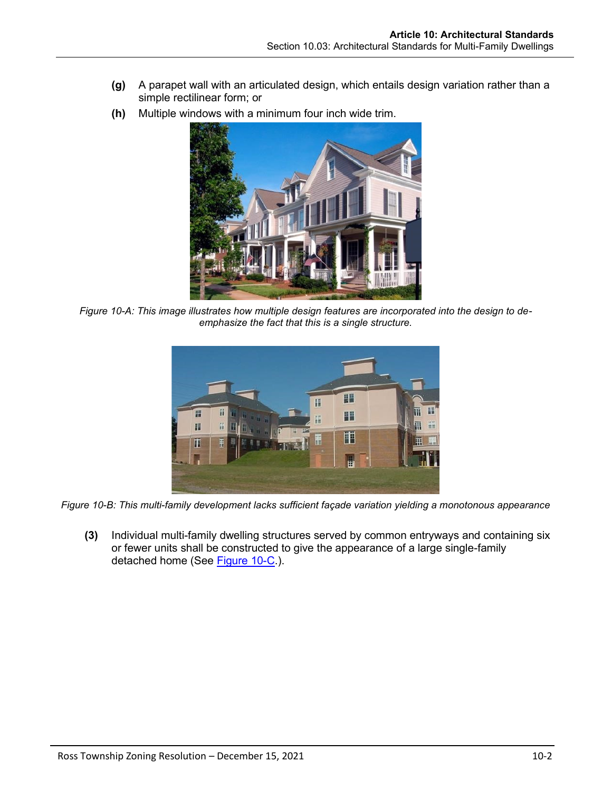- **(g)** A parapet wall with an articulated design, which entails design variation rather than a simple rectilinear form; or
- **(h)** Multiple windows with a minimum four inch wide trim.



*Figure 10-A: This image illustrates how multiple design features are incorporated into the design to deemphasize the fact that this is a single structure.*



*Figure 10-B: This multi-family development lacks sufficient façade variation yielding a monotonous appearance*

**(3)** Individual multi-family dwelling structures served by common entryways and containing six or fewer units shall be constructed to give the appearance of a large single-family detached home (See [Figure 10-C.](#page-2-0)).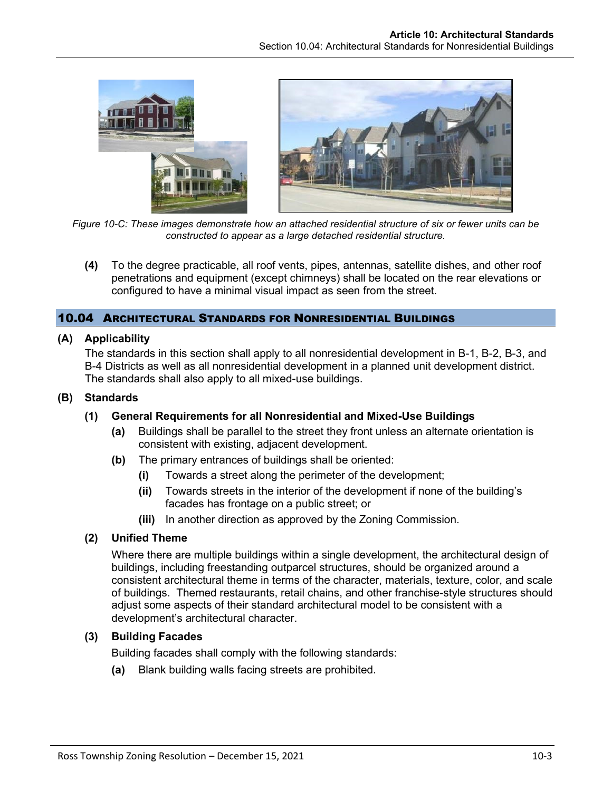

*Figure 10-C: These images demonstrate how an attached residential structure of six or fewer units can be constructed to appear as a large detached residential structure.*

<span id="page-2-0"></span>**(4)** To the degree practicable, all roof vents, pipes, antennas, satellite dishes, and other roof penetrations and equipment (except chimneys) shall be located on the rear elevations or configured to have a minimal visual impact as seen from the street.

## 10.04 ARCHITECTURAL STANDARDS FOR NONRESIDENTIAL BUILDINGS

### **(A) Applicability**

The standards in this section shall apply to all nonresidential development in B-1, B-2, B-3, and B-4 Districts as well as all nonresidential development in a planned unit development district. The standards shall also apply to all mixed-use buildings.

### **(B) Standards**

### **(1) General Requirements for all Nonresidential and Mixed-Use Buildings**

- **(a)** Buildings shall be parallel to the street they front unless an alternate orientation is consistent with existing, adjacent development.
- **(b)** The primary entrances of buildings shall be oriented:
	- **(i)** Towards a street along the perimeter of the development;
	- **(ii)** Towards streets in the interior of the development if none of the building's facades has frontage on a public street; or
	- **(iii)** In another direction as approved by the Zoning Commission.

### **(2) Unified Theme**

Where there are multiple buildings within a single development, the architectural design of buildings, including freestanding outparcel structures, should be organized around a consistent architectural theme in terms of the character, materials, texture, color, and scale of buildings. Themed restaurants, retail chains, and other franchise-style structures should adjust some aspects of their standard architectural model to be consistent with a development's architectural character.

# **(3) Building Facades**

Building facades shall comply with the following standards:

**(a)** Blank building walls facing streets are prohibited.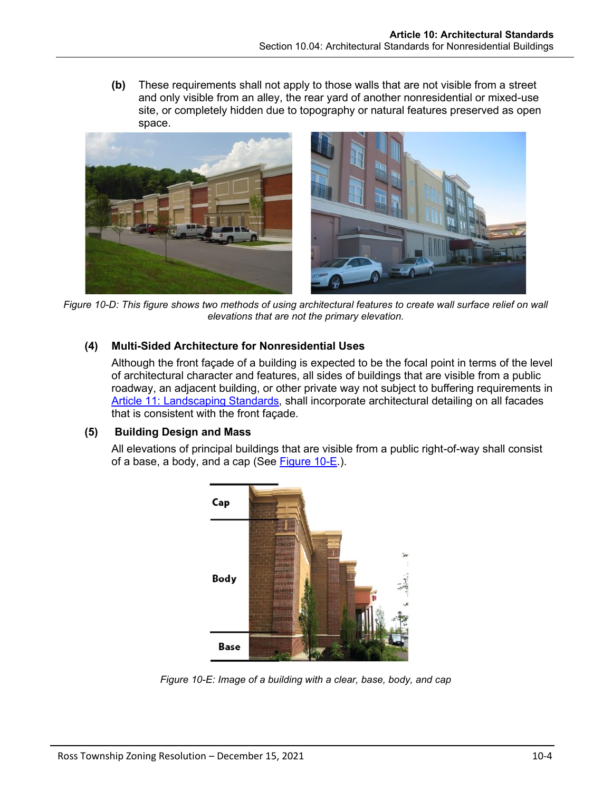**(b)** These requirements shall not apply to those walls that are not visible from a street and only visible from an alley, the rear yard of another nonresidential or mixed-use site, or completely hidden due to topography or natural features preserved as open space.



*Figure 10-D: This figure shows two methods of using architectural features to create wall surface relief on wall elevations that are not the primary elevation.*

## **(4) Multi-Sided Architecture for Nonresidential Uses**

Although the front façade of a building is expected to be the focal point in terms of the level of architectural character and features, all sides of buildings that are visible from a public roadway, an adjacent building, or other private way not subject to buffering requirements in Article 11: Landscaping Standards, shall incorporate architectural detailing on all facades that is consistent with the front façade.

### **(5) Building Design and Mass**

All elevations of principal buildings that are visible from a public right-of-way shall consist of a base, a body, and a cap (See [Figure 10-E.](#page-3-0)).



<span id="page-3-0"></span>*Figure 10-E: Image of a building with a clear, base, body, and cap*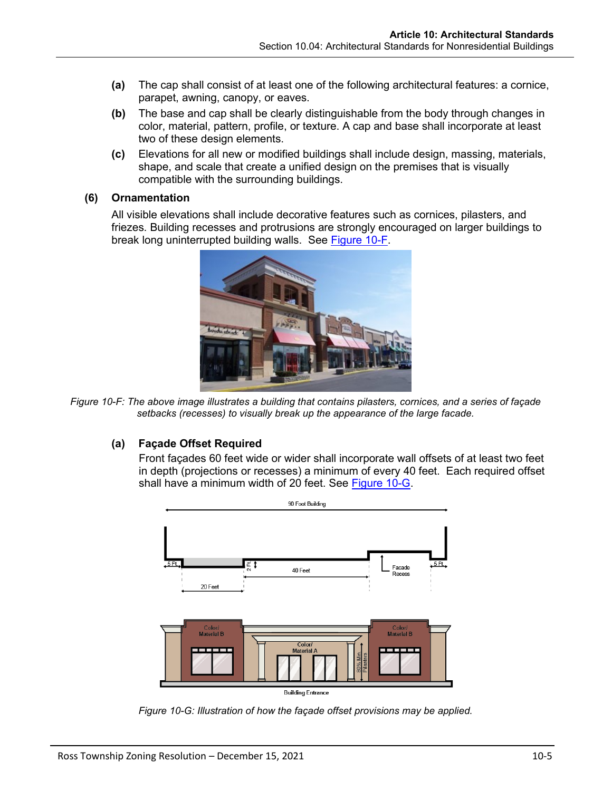- **(a)** The cap shall consist of at least one of the following architectural features: a cornice, parapet, awning, canopy, or eaves.
- **(b)** The base and cap shall be clearly distinguishable from the body through changes in color, material, pattern, profile, or texture. A cap and base shall incorporate at least two of these design elements.
- **(c)** Elevations for all new or modified buildings shall include design, massing, materials, shape, and scale that create a unified design on the premises that is visually compatible with the surrounding buildings.

#### **(6) Ornamentation**

All visible elevations shall include decorative features such as cornices, pilasters, and friezes. Building recesses and protrusions are strongly encouraged on larger buildings to break long uninterrupted building walls. See **Figure 10-F**.



*Figure 10-F: The above image illustrates a building that contains pilasters, cornices, and a series of façade setbacks (recesses) to visually break up the appearance of the large facade.*

# <span id="page-4-0"></span>**(a) Façade Offset Required**

Front façades 60 feet wide or wider shall incorporate wall offsets of at least two feet in depth (projections or recesses) a minimum of every 40 feet. Each required offset shall have a minimum width of 20 feet. See [Figure 10-G.](#page-4-1)



<span id="page-4-1"></span>*Figure 10-G: Illustration of how the façade offset provisions may be applied.*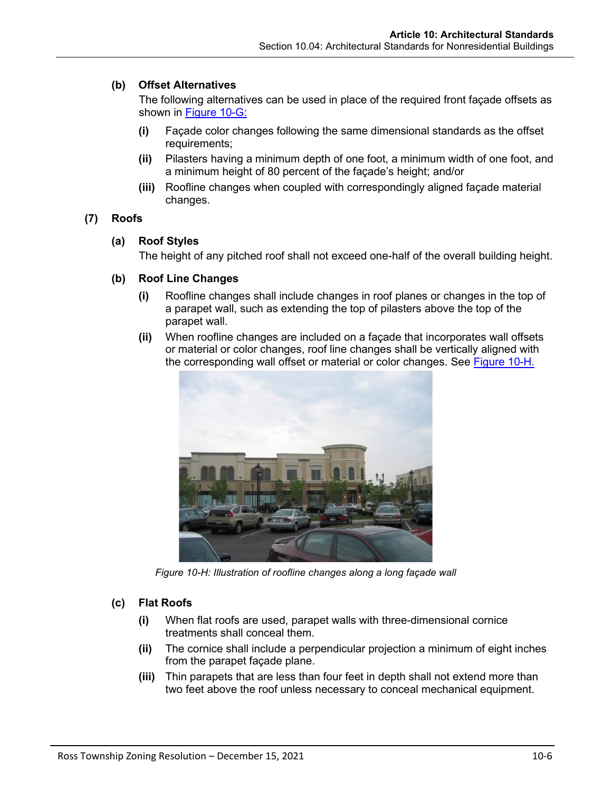## **(b) Offset Alternatives**

The following alternatives can be used in place of the required front façade offsets as shown in [Figure 10-G:](#page-4-1)

- **(i)** Façade color changes following the same dimensional standards as the offset requirements;
- **(ii)** Pilasters having a minimum depth of one foot, a minimum width of one foot, and a minimum height of 80 percent of the façade's height; and/or
- **(iii)** Roofline changes when coupled with correspondingly aligned façade material changes.

## **(7) Roofs**

## **(a) Roof Styles**

The height of any pitched roof shall not exceed one-half of the overall building height.

### **(b) Roof Line Changes**

- **(i)** Roofline changes shall include changes in roof planes or changes in the top of a parapet wall, such as extending the top of pilasters above the top of the parapet wall.
- **(ii)** When roofline changes are included on a façade that incorporates wall offsets or material or color changes, roof line changes shall be vertically aligned with the corresponding wall offset or material or color changes. See **Figure 10-H.**



*Figure 10-H: Illustration of roofline changes along a long façade wall*

### <span id="page-5-0"></span>**(c) Flat Roofs**

- **(i)** When flat roofs are used, parapet walls with three-dimensional cornice treatments shall conceal them.
- **(ii)** The cornice shall include a perpendicular projection a minimum of eight inches from the parapet façade plane.
- **(iii)** Thin parapets that are less than four feet in depth shall not extend more than two feet above the roof unless necessary to conceal mechanical equipment.